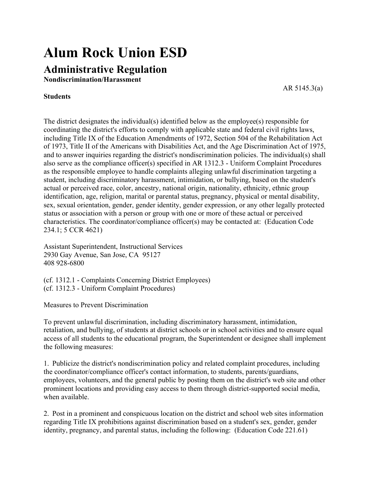## **Alum Rock Union ESD**

## **Administrative Regulation**

**Nondiscrimination/Harassment**

AR 5145.3(a)

## **Students**

The district designates the individual(s) identified below as the employee(s) responsible for coordinating the district's efforts to comply with applicable state and federal civil rights laws, including Title IX of the Education Amendments of 1972, Section 504 of the Rehabilitation Act of 1973, Title II of the Americans with Disabilities Act, and the Age Discrimination Act of 1975, and to answer inquiries regarding the district's nondiscrimination policies. The individual(s) shall also serve as the compliance officer(s) specified in AR 1312.3 - Uniform Complaint Procedures as the responsible employee to handle complaints alleging unlawful discrimination targeting a student, including discriminatory harassment, intimidation, or bullying, based on the student's actual or perceived race, color, ancestry, national origin, nationality, ethnicity, ethnic group identification, age, religion, marital or parental status, pregnancy, physical or mental disability, sex, sexual orientation, gender, gender identity, gender expression, or any other legally protected status or association with a person or group with one or more of these actual or perceived characteristics. The coordinator/compliance officer(s) may be contacted at: (Education Code 234.1; 5 CCR 4621)

Assistant Superintendent, Instructional Services 2930 Gay Avenue, San Jose, CA 95127 408 928-6800

(cf. 1312.1 - Complaints Concerning District Employees) (cf. 1312.3 - Uniform Complaint Procedures)

Measures to Prevent Discrimination

To prevent unlawful discrimination, including discriminatory harassment, intimidation, retaliation, and bullying, of students at district schools or in school activities and to ensure equal access of all students to the educational program, the Superintendent or designee shall implement the following measures:

1. Publicize the district's nondiscrimination policy and related complaint procedures, including the coordinator/compliance officer's contact information, to students, parents/guardians, employees, volunteers, and the general public by posting them on the district's web site and other prominent locations and providing easy access to them through district-supported social media, when available.

2. Post in a prominent and conspicuous location on the district and school web sites information regarding Title IX prohibitions against discrimination based on a student's sex, gender, gender identity, pregnancy, and parental status, including the following: (Education Code 221.61)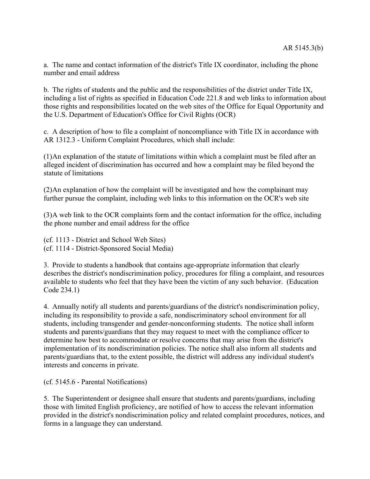a. The name and contact information of the district's Title IX coordinator, including the phone number and email address

b. The rights of students and the public and the responsibilities of the district under Title IX, including a list of rights as specified in Education Code 221.8 and web links to information about those rights and responsibilities located on the web sites of the Office for Equal Opportunity and the U.S. Department of Education's Office for Civil Rights (OCR)

c. A description of how to file a complaint of noncompliance with Title IX in accordance with AR 1312.3 - Uniform Complaint Procedures, which shall include:

(1)An explanation of the statute of limitations within which a complaint must be filed after an alleged incident of discrimination has occurred and how a complaint may be filed beyond the statute of limitations

(2)An explanation of how the complaint will be investigated and how the complainant may further pursue the complaint, including web links to this information on the OCR's web site

(3)A web link to the OCR complaints form and the contact information for the office, including the phone number and email address for the office

(cf. 1113 - District and School Web Sites) (cf. 1114 - District-Sponsored Social Media)

3. Provide to students a handbook that contains age-appropriate information that clearly describes the district's nondiscrimination policy, procedures for filing a complaint, and resources available to students who feel that they have been the victim of any such behavior. (Education Code 234.1)

4. Annually notify all students and parents/guardians of the district's nondiscrimination policy, including its responsibility to provide a safe, nondiscriminatory school environment for all students, including transgender and gender-nonconforming students. The notice shall inform students and parents/guardians that they may request to meet with the compliance officer to determine how best to accommodate or resolve concerns that may arise from the district's implementation of its nondiscrimination policies. The notice shall also inform all students and parents/guardians that, to the extent possible, the district will address any individual student's interests and concerns in private.

(cf. 5145.6 - Parental Notifications)

5. The Superintendent or designee shall ensure that students and parents/guardians, including those with limited English proficiency, are notified of how to access the relevant information provided in the district's nondiscrimination policy and related complaint procedures, notices, and forms in a language they can understand.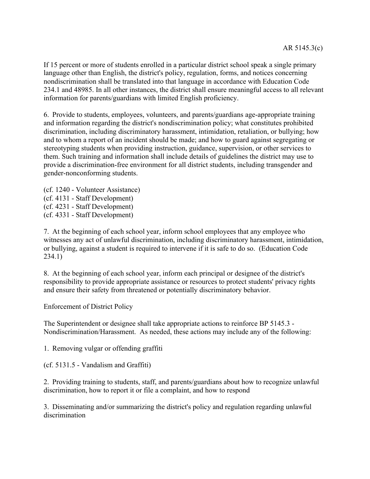If 15 percent or more of students enrolled in a particular district school speak a single primary language other than English, the district's policy, regulation, forms, and notices concerning nondiscrimination shall be translated into that language in accordance with Education Code 234.1 and 48985. In all other instances, the district shall ensure meaningful access to all relevant information for parents/guardians with limited English proficiency.

6. Provide to students, employees, volunteers, and parents/guardians age-appropriate training and information regarding the district's nondiscrimination policy; what constitutes prohibited discrimination, including discriminatory harassment, intimidation, retaliation, or bullying; how and to whom a report of an incident should be made; and how to guard against segregating or stereotyping students when providing instruction, guidance, supervision, or other services to them. Such training and information shall include details of guidelines the district may use to provide a discrimination-free environment for all district students, including transgender and gender-nonconforming students.

(cf. 1240 - Volunteer Assistance) (cf. 4131 - Staff Development) (cf. 4231 - Staff Development) (cf. 4331 - Staff Development)

7. At the beginning of each school year, inform school employees that any employee who witnesses any act of unlawful discrimination, including discriminatory harassment, intimidation, or bullying, against a student is required to intervene if it is safe to do so. (Education Code 234.1)

8. At the beginning of each school year, inform each principal or designee of the district's responsibility to provide appropriate assistance or resources to protect students' privacy rights and ensure their safety from threatened or potentially discriminatory behavior.

Enforcement of District Policy

The Superintendent or designee shall take appropriate actions to reinforce BP 5145.3 - Nondiscrimination/Harassment. As needed, these actions may include any of the following:

1. Removing vulgar or offending graffiti

(cf. 5131.5 - Vandalism and Graffiti)

2. Providing training to students, staff, and parents/guardians about how to recognize unlawful discrimination, how to report it or file a complaint, and how to respond

3. Disseminating and/or summarizing the district's policy and regulation regarding unlawful discrimination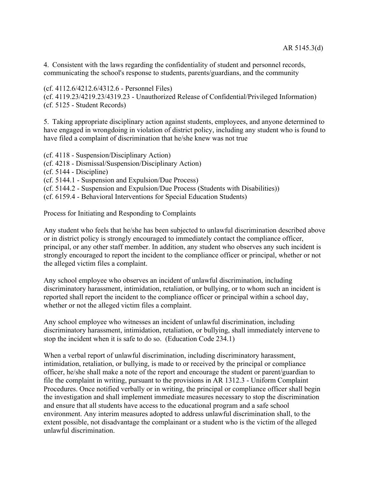4. Consistent with the laws regarding the confidentiality of student and personnel records, communicating the school's response to students, parents/guardians, and the community

(cf. 4112.6/4212.6/4312.6 - Personnel Files) (cf. 4119.23/4219.23/4319.23 - Unauthorized Release of Confidential/Privileged Information) (cf. 5125 - Student Records)

5. Taking appropriate disciplinary action against students, employees, and anyone determined to have engaged in wrongdoing in violation of district policy, including any student who is found to have filed a complaint of discrimination that he/she knew was not true

(cf. 4118 - Suspension/Disciplinary Action) (cf. 4218 - Dismissal/Suspension/Disciplinary Action) (cf. 5144 - Discipline) (cf. 5144.1 - Suspension and Expulsion/Due Process) (cf. 5144.2 - Suspension and Expulsion/Due Process (Students with Disabilities))

(cf. 6159.4 - Behavioral Interventions for Special Education Students)

Process for Initiating and Responding to Complaints

Any student who feels that he/she has been subjected to unlawful discrimination described above or in district policy is strongly encouraged to immediately contact the compliance officer, principal, or any other staff member. In addition, any student who observes any such incident is strongly encouraged to report the incident to the compliance officer or principal, whether or not the alleged victim files a complaint.

Any school employee who observes an incident of unlawful discrimination, including discriminatory harassment, intimidation, retaliation, or bullying, or to whom such an incident is reported shall report the incident to the compliance officer or principal within a school day, whether or not the alleged victim files a complaint.

Any school employee who witnesses an incident of unlawful discrimination, including discriminatory harassment, intimidation, retaliation, or bullying, shall immediately intervene to stop the incident when it is safe to do so. (Education Code 234.1)

When a verbal report of unlawful discrimination, including discriminatory harassment, intimidation, retaliation, or bullying, is made to or received by the principal or compliance officer, he/she shall make a note of the report and encourage the student or parent/guardian to file the complaint in writing, pursuant to the provisions in AR 1312.3 - Uniform Complaint Procedures. Once notified verbally or in writing, the principal or compliance officer shall begin the investigation and shall implement immediate measures necessary to stop the discrimination and ensure that all students have access to the educational program and a safe school environment. Any interim measures adopted to address unlawful discrimination shall, to the extent possible, not disadvantage the complainant or a student who is the victim of the alleged unlawful discrimination.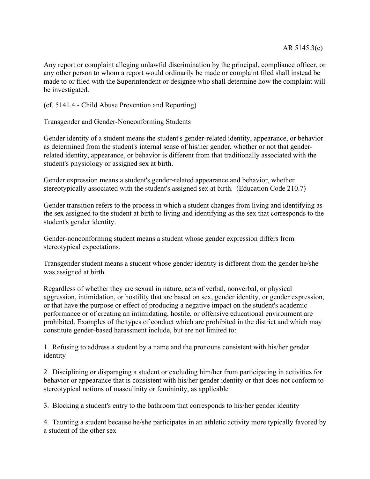Any report or complaint alleging unlawful discrimination by the principal, compliance officer, or any other person to whom a report would ordinarily be made or complaint filed shall instead be made to or filed with the Superintendent or designee who shall determine how the complaint will be investigated.

(cf. 5141.4 - Child Abuse Prevention and Reporting)

Transgender and Gender-Nonconforming Students

Gender identity of a student means the student's gender-related identity, appearance, or behavior as determined from the student's internal sense of his/her gender, whether or not that genderrelated identity, appearance, or behavior is different from that traditionally associated with the student's physiology or assigned sex at birth.

Gender expression means a student's gender-related appearance and behavior, whether stereotypically associated with the student's assigned sex at birth. (Education Code 210.7)

Gender transition refers to the process in which a student changes from living and identifying as the sex assigned to the student at birth to living and identifying as the sex that corresponds to the student's gender identity.

Gender-nonconforming student means a student whose gender expression differs from stereotypical expectations.

Transgender student means a student whose gender identity is different from the gender he/she was assigned at birth.

Regardless of whether they are sexual in nature, acts of verbal, nonverbal, or physical aggression, intimidation, or hostility that are based on sex, gender identity, or gender expression, or that have the purpose or effect of producing a negative impact on the student's academic performance or of creating an intimidating, hostile, or offensive educational environment are prohibited. Examples of the types of conduct which are prohibited in the district and which may constitute gender-based harassment include, but are not limited to:

1. Refusing to address a student by a name and the pronouns consistent with his/her gender identity

2. Disciplining or disparaging a student or excluding him/her from participating in activities for behavior or appearance that is consistent with his/her gender identity or that does not conform to stereotypical notions of masculinity or femininity, as applicable

3. Blocking a student's entry to the bathroom that corresponds to his/her gender identity

4. Taunting a student because he/she participates in an athletic activity more typically favored by a student of the other sex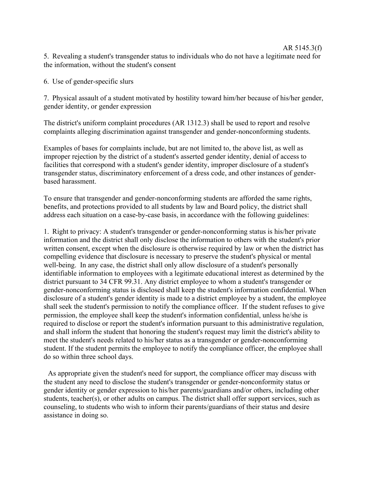## AR 5145.3(f) 5. Revealing a student's transgender status to individuals who do not have a legitimate need for the information, without the student's consent

6. Use of gender-specific slurs

7. Physical assault of a student motivated by hostility toward him/her because of his/her gender, gender identity, or gender expression

The district's uniform complaint procedures (AR 1312.3) shall be used to report and resolve complaints alleging discrimination against transgender and gender-nonconforming students.

Examples of bases for complaints include, but are not limited to, the above list, as well as improper rejection by the district of a student's asserted gender identity, denial of access to facilities that correspond with a student's gender identity, improper disclosure of a student's transgender status, discriminatory enforcement of a dress code, and other instances of genderbased harassment.

To ensure that transgender and gender-nonconforming students are afforded the same rights, benefits, and protections provided to all students by law and Board policy, the district shall address each situation on a case-by-case basis, in accordance with the following guidelines:

1. Right to privacy: A student's transgender or gender-nonconforming status is his/her private information and the district shall only disclose the information to others with the student's prior written consent, except when the disclosure is otherwise required by law or when the district has compelling evidence that disclosure is necessary to preserve the student's physical or mental well-being. In any case, the district shall only allow disclosure of a student's personally identifiable information to employees with a legitimate educational interest as determined by the district pursuant to 34 CFR 99.31. Any district employee to whom a student's transgender or gender-nonconforming status is disclosed shall keep the student's information confidential. When disclosure of a student's gender identity is made to a district employee by a student, the employee shall seek the student's permission to notify the compliance officer. If the student refuses to give permission, the employee shall keep the student's information confidential, unless he/she is required to disclose or report the student's information pursuant to this administrative regulation, and shall inform the student that honoring the student's request may limit the district's ability to meet the student's needs related to his/her status as a transgender or gender-nonconforming student. If the student permits the employee to notify the compliance officer, the employee shall do so within three school days.

As appropriate given the student's need for support, the compliance officer may discuss with the student any need to disclose the student's transgender or gender-nonconformity status or gender identity or gender expression to his/her parents/guardians and/or others, including other students, teacher(s), or other adults on campus. The district shall offer support services, such as counseling, to students who wish to inform their parents/guardians of their status and desire assistance in doing so.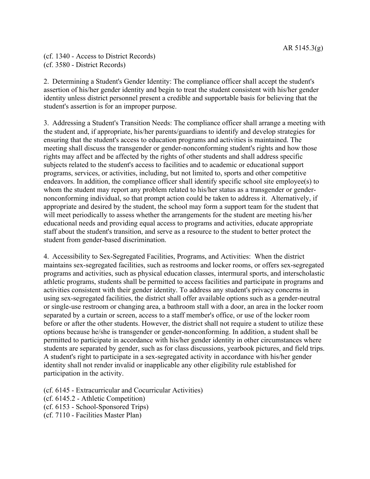(cf. 1340 - Access to District Records) (cf. 3580 - District Records)

2. Determining a Student's Gender Identity: The compliance officer shall accept the student's assertion of his/her gender identity and begin to treat the student consistent with his/her gender identity unless district personnel present a credible and supportable basis for believing that the student's assertion is for an improper purpose.

3. Addressing a Student's Transition Needs: The compliance officer shall arrange a meeting with the student and, if appropriate, his/her parents/guardians to identify and develop strategies for ensuring that the student's access to education programs and activities is maintained. The meeting shall discuss the transgender or gender-nonconforming student's rights and how those rights may affect and be affected by the rights of other students and shall address specific subjects related to the student's access to facilities and to academic or educational support programs, services, or activities, including, but not limited to, sports and other competitive endeavors. In addition, the compliance officer shall identify specific school site employee(s) to whom the student may report any problem related to his/her status as a transgender or gendernonconforming individual, so that prompt action could be taken to address it. Alternatively, if appropriate and desired by the student, the school may form a support team for the student that will meet periodically to assess whether the arrangements for the student are meeting his/her educational needs and providing equal access to programs and activities, educate appropriate staff about the student's transition, and serve as a resource to the student to better protect the student from gender-based discrimination.

4. Accessibility to Sex-Segregated Facilities, Programs, and Activities: When the district maintains sex-segregated facilities, such as restrooms and locker rooms, or offers sex-segregated programs and activities, such as physical education classes, intermural sports, and interscholastic athletic programs, students shall be permitted to access facilities and participate in programs and activities consistent with their gender identity. To address any student's privacy concerns in using sex-segregated facilities, the district shall offer available options such as a gender-neutral or single-use restroom or changing area, a bathroom stall with a door, an area in the locker room separated by a curtain or screen, access to a staff member's office, or use of the locker room before or after the other students. However, the district shall not require a student to utilize these options because he/she is transgender or gender-nonconforming. In addition, a student shall be permitted to participate in accordance with his/her gender identity in other circumstances where students are separated by gender, such as for class discussions, yearbook pictures, and field trips. A student's right to participate in a sex-segregated activity in accordance with his/her gender identity shall not render invalid or inapplicable any other eligibility rule established for participation in the activity.

- (cf. 6145 Extracurricular and Cocurricular Activities)
- (cf. 6145.2 Athletic Competition)
- (cf. 6153 School-Sponsored Trips)
- (cf. 7110 Facilities Master Plan)